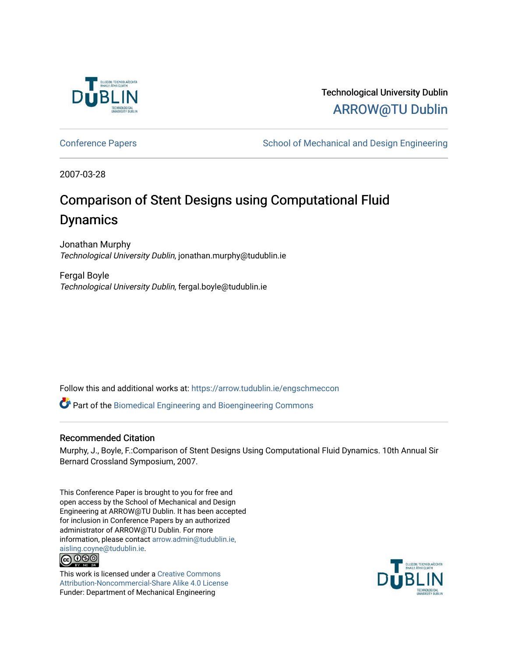

## Technological University Dublin [ARROW@TU Dublin](https://arrow.tudublin.ie/)

[Conference Papers](https://arrow.tudublin.ie/engschmeccon) **School of Mechanical and Design Engineering** School of Mechanical and Design Engineering

2007-03-28

# Comparison of Stent Designs using Computational Fluid Dynamics

Jonathan Murphy Technological University Dublin, jonathan.murphy@tudublin.ie

Fergal Boyle Technological University Dublin, fergal.boyle@tudublin.ie

Follow this and additional works at: [https://arrow.tudublin.ie/engschmeccon](https://arrow.tudublin.ie/engschmeccon?utm_source=arrow.tudublin.ie%2Fengschmeccon%2F24&utm_medium=PDF&utm_campaign=PDFCoverPages) 

Part of the [Biomedical Engineering and Bioengineering Commons](http://network.bepress.com/hgg/discipline/229?utm_source=arrow.tudublin.ie%2Fengschmeccon%2F24&utm_medium=PDF&utm_campaign=PDFCoverPages) 

## Recommended Citation

Murphy, J., Boyle, F.:Comparison of Stent Designs Using Computational Fluid Dynamics. 10th Annual Sir Bernard Crossland Symposium, 2007.

This Conference Paper is brought to you for free and open access by the School of Mechanical and Design Engineering at ARROW@TU Dublin. It has been accepted for inclusion in Conference Papers by an authorized administrator of ARROW@TU Dublin. For more information, please contact [arrow.admin@tudublin.ie,](mailto:arrow.admin@tudublin.ie,%20aisling.coyne@tudublin.ie)  [aisling.coyne@tudublin.ie.](mailto:arrow.admin@tudublin.ie,%20aisling.coyne@tudublin.ie)



This work is licensed under a [Creative Commons](http://creativecommons.org/licenses/by-nc-sa/4.0/) [Attribution-Noncommercial-Share Alike 4.0 License](http://creativecommons.org/licenses/by-nc-sa/4.0/) Funder: Department of Mechanical Engineering

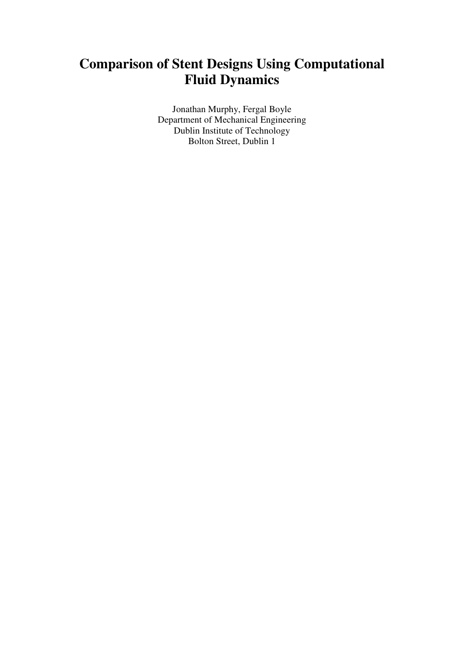## **Comparison of Stent Designs Using Computational Fluid Dynamics**

Jonathan Murphy, Fergal Boyle Department of Mechanical Engineering Dublin Institute of Technology Bolton Street, Dublin 1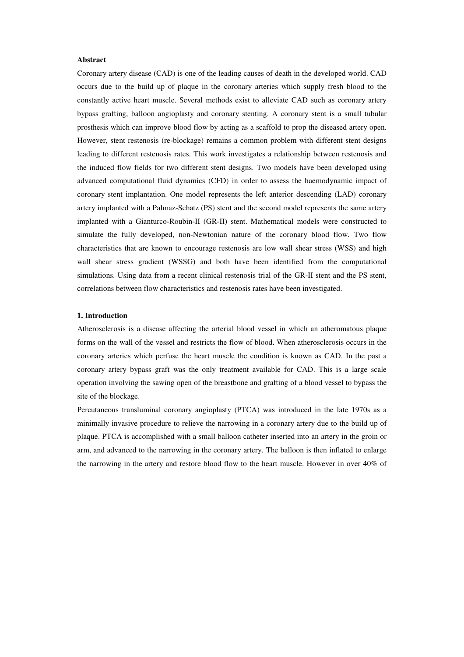## **Abstract**

Coronary artery disease (CAD) is one of the leading causes of death in the developed world. CAD occurs due to the build up of plaque in the coronary arteries which supply fresh blood to the constantly active heart muscle. Several methods exist to alleviate CAD such as coronary artery bypass grafting, balloon angioplasty and coronary stenting. A coronary stent is a small tubular prosthesis which can improve blood flow by acting as a scaffold to prop the diseased artery open. However, stent restenosis (re-blockage) remains a common problem with different stent designs leading to different restenosis rates. This work investigates a relationship between restenosis and the induced flow fields for two different stent designs. Two models have been developed using advanced computational fluid dynamics (CFD) in order to assess the haemodynamic impact of coronary stent implantation. One model represents the left anterior descending (LAD) coronary artery implanted with a Palmaz-Schatz (PS) stent and the second model represents the same artery implanted with a Gianturco-Roubin-II (GR-II) stent. Mathematical models were constructed to simulate the fully developed, non-Newtonian nature of the coronary blood flow. Two flow characteristics that are known to encourage restenosis are low wall shear stress (WSS) and high wall shear stress gradient (WSSG) and both have been identified from the computational simulations. Using data from a recent clinical restenosis trial of the GR-II stent and the PS stent, correlations between flow characteristics and restenosis rates have been investigated.

## **1. Introduction**

Atherosclerosis is a disease affecting the arterial blood vessel in which an atheromatous plaque forms on the wall of the vessel and restricts the flow of blood. When atherosclerosis occurs in the coronary arteries which perfuse the heart muscle the condition is known as CAD. In the past a coronary artery bypass graft was the only treatment available for CAD. This is a large scale operation involving the sawing open of the breastbone and grafting of a blood vessel to bypass the site of the blockage.

Percutaneous transluminal coronary angioplasty (PTCA) was introduced in the late 1970s as a minimally invasive procedure to relieve the narrowing in a coronary artery due to the build up of plaque. PTCA is accomplished with a small balloon catheter inserted into an artery in the groin or arm, and advanced to the narrowing in the coronary artery. The balloon is then inflated to enlarge the narrowing in the artery and restore blood flow to the heart muscle. However in over 40% of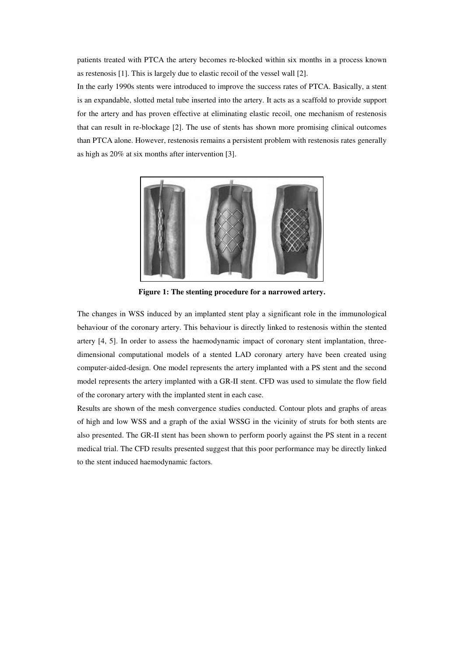patients treated with PTCA the artery becomes re-blocked within six months in a process known as restenosis [1]. This is largely due to elastic recoil of the vessel wall [2].

In the early 1990s stents were introduced to improve the success rates of PTCA. Basically, a stent is an expandable, slotted metal tube inserted into the artery. It acts as a scaffold to provide support for the artery and has proven effective at eliminating elastic recoil, one mechanism of restenosis that can result in re-blockage [2]. The use of stents has shown more promising clinical outcomes than PTCA alone. However, restenosis remains a persistent problem with restenosis rates generally as high as 20% at six months after intervention [3].



**Figure 1: The stenting procedure for a narrowed artery.**

The changes in WSS induced by an implanted stent play a significant role in the immunological behaviour of the coronary artery. This behaviour is directly linked to restenosis within the stented artery [4, 5]. In order to assess the haemodynamic impact of coronary stent implantation, threedimensional computational models of a stented LAD coronary artery have been created using computer-aided-design. One model represents the artery implanted with a PS stent and the second model represents the artery implanted with a GR-II stent. CFD was used to simulate the flow field of the coronary artery with the implanted stent in each case.

Results are shown of the mesh convergence studies conducted. Contour plots and graphs of areas of high and low WSS and a graph of the axial WSSG in the vicinity of struts for both stents are also presented. The GR-II stent has been shown to perform poorly against the PS stent in a recent medical trial. The CFD results presented suggest that this poor performance may be directly linked to the stent induced haemodynamic factors.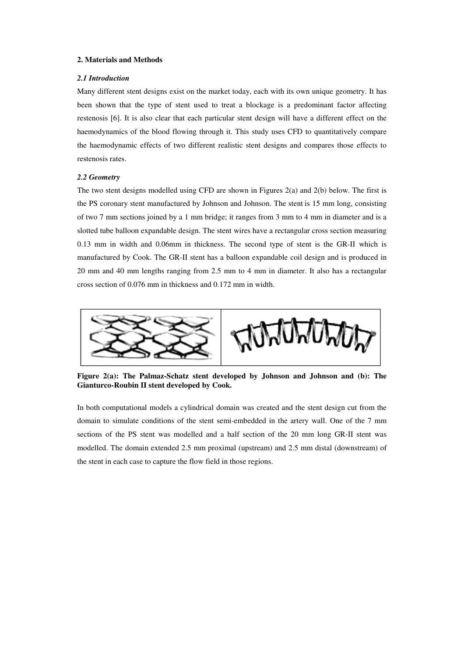## **2. Materials and Methods**

## *2.1 Introduction*

Many different stent designs exist on the market today, each with its own unique geometry. It has been shown that the type of stent used to treat a blockage is a predominant factor affecting restenosis [6]. It is also clear that each particular stent design will have a different effect on the haemodynamics of the blood flowing through it. This study uses CFD to quantitatively compare the haemodynamic effects of two different realistic stent designs and compares those effects to restenosis rates.

#### *2.2 Geometry*

The two stent designs modelled using CFD are shown in Figures 2(a) and 2(b) below. The first is the PS coronary stent manufactured by Johnson and Johnson. The stent is 15 mm long, consisting of two 7 mm sections joined by a 1 mm bridge; it ranges from 3 mm to 4 mm in diameter and is a slotted tube balloon expandable design. The stent wires have a rectangular cross section measuring 0.13 mm in width and 0.06mm in thickness. The second type of stent is the GR-II which is manufactured by Cook. The GR-II stent has a balloon expandable coil design and is produced in 20 mm and 40 mm lengths ranging from 2.5 mm to 4 mm in diameter. It also has a rectangular cross section of 0.076 mm in thickness and 0.172 mm in width.



**Figure 2(a): The Palmaz-Schatz stent developed by Johnson and Johnson and (b): The Gianturco-Roubin II stent developed by Cook.**

In both computational models a cylindrical domain was created and the stent design cut from the domain to simulate conditions of the stent semi-embedded in the artery wall. One of the 7 mm sections of the PS stent was modelled and a half section of the 20 mm long GR-II stent was modelled. The domain extended 2.5 mm proximal (upstream) and 2.5 mm distal (downstream) of the stent in each case to capture the flow field in those regions.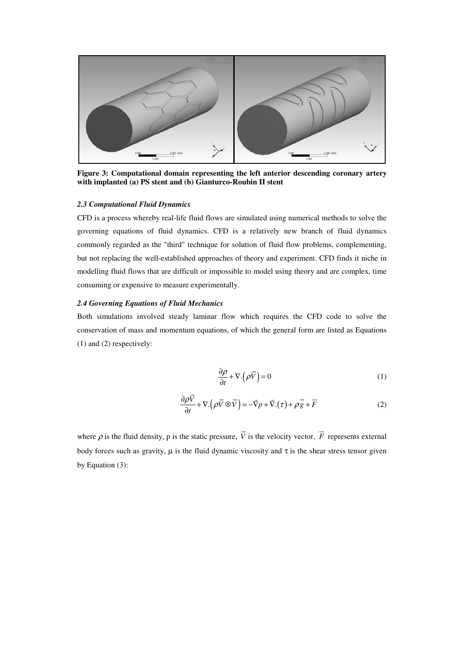

**Figure 3: Computational domain representing the left anterior descending coronary artery with implanted (a) PS stent and (b) Gianturco-Roubin II stent**

#### *2.3 Computational Fluid Dynamics*

CFD is a process whereby real-life fluid flows are simulated using numerical methods to solve the governing equations of fluid dynamics. CFD is a relatively new branch of fluid dynamics commonly regarded as the "third" technique for solution of fluid flow problems, complementing, but not replacing the well-established approaches of theory and experiment. CFD finds it niche in modelling fluid flows that are difficult or impossible to model using theory and are complex, time consuming or expensive to measure experimentally.

## *2.4 Governing Equations of Fluid Mechanics*

Both simulations involved steady laminar flow which requires the CFD code to solve the conservation of mass and momentum equations, of which the general form are listed as Equations (1) and (2) respectively:

$$
\frac{\partial \rho}{\partial t} + \nabla \cdot (\rho \vec{V}) = 0 \tag{1}
$$

$$
\frac{\partial \rho \vec{V}}{\partial t} + \nabla \cdot (\rho \vec{V} \otimes \vec{V}) = -\vec{\nabla} p + \vec{\nabla} \cdot (\tau) + \rho \vec{g} + \vec{F}
$$
(2)

where  $\rho$  is the fluid density, p is the static pressure,  $\vec{V}$  is the velocity vector,  $\vec{F}$  represents external body forces such as gravity,  $\mu$  is the fluid dynamic viscosity and  $\tau$  is the shear stress tensor given by Equation (3):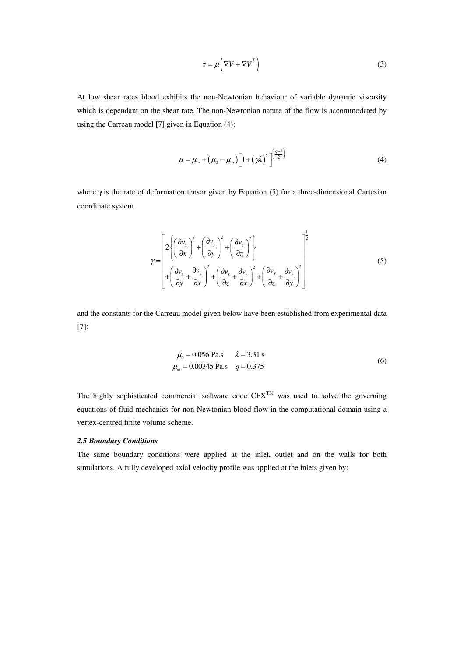$$
\tau = \mu \left( \nabla \vec{V} + \nabla \vec{V}^T \right)
$$
 (3)

At low shear rates blood exhibits the non-Newtonian behaviour of variable dynamic viscosity which is dependant on the shear rate. The non-Newtonian nature of the flow is accommodated by using the Carreau model [7] given in Equation (4):

$$
\mu = \mu_{\infty} + (\mu_0 - \mu_{\infty}) \left[ 1 + (\gamma \lambda)^2 \right]^{\left(\frac{q-1}{2}\right)}
$$
\n(4)

where  $\gamma$  is the rate of deformation tensor given by Equation (5) for a three-dimensional Cartesian coordinate system

$$
\gamma = \begin{bmatrix} 2\left\{ \left(\frac{\partial v_x}{\partial x}\right)^2 + \left(\frac{\partial v_y}{\partial y}\right)^2 + \left(\frac{\partial v_z}{\partial z}\right)^2 \right\} \\ + \left(\frac{\partial v_x}{\partial y} + \frac{\partial v_y}{\partial x}\right)^2 + \left(\frac{\partial v_x}{\partial z} + \frac{\partial v_z}{\partial x}\right)^2 + \left(\frac{\partial v_y}{\partial z} + \frac{\partial v_z}{\partial y}\right)^2 \end{bmatrix}^{-\frac{1}{2}}
$$
(5)

and the constants for the Carreau model given below have been established from experimental data [7]:

$$
\mu_0 = 0.056 \text{ Pa.s} \qquad \lambda = 3.31 \text{ s}
$$
  

$$
\mu_\infty = 0.00345 \text{ Pa.s} \qquad q = 0.375 \tag{6}
$$

The highly sophisticated commercial software code  $CFX^{TM}$  was used to solve the governing equations of fluid mechanics for non-Newtonian blood flow in the computational domain using a vertex-centred finite volume scheme.

## *2.5 Boundary Conditions*

The same boundary conditions were applied at the inlet, outlet and on the walls for both simulations. A fully developed axial velocity profile was applied at the inlets given by: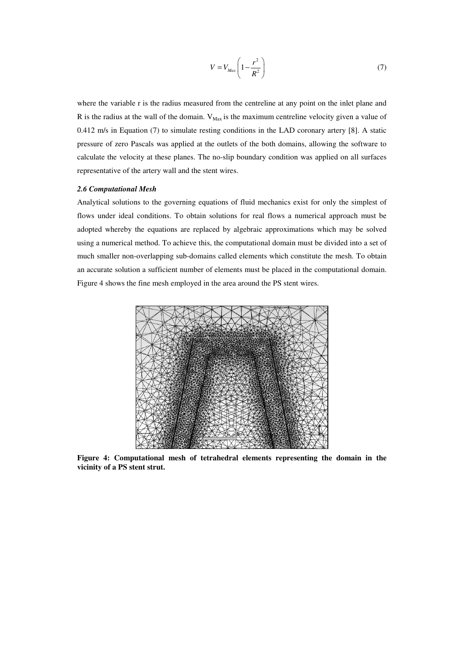$$
V = V_{Max} \left( 1 - \frac{r^2}{R^2} \right) \tag{7}
$$

where the variable r is the radius measured from the centreline at any point on the inlet plane and R is the radius at the wall of the domain.  $V_{\text{Max}}$  is the maximum centreline velocity given a value of 0.412 m/s in Equation (7) to simulate resting conditions in the LAD coronary artery [8]. A static pressure of zero Pascals was applied at the outlets of the both domains, allowing the software to calculate the velocity at these planes. The no-slip boundary condition was applied on all surfaces representative of the artery wall and the stent wires.

#### *2.6 Computational Mesh*

Analytical solutions to the governing equations of fluid mechanics exist for only the simplest of flows under ideal conditions. To obtain solutions for real flows a numerical approach must be adopted whereby the equations are replaced by algebraic approximations which may be solved using a numerical method. To achieve this, the computational domain must be divided into a set of much smaller non-overlapping sub-domains called elements which constitute the mesh. To obtain an accurate solution a sufficient number of elements must be placed in the computational domain. Figure 4 shows the fine mesh employed in the area around the PS stent wires.



**Figure 4: Computational mesh of tetrahedral elements representing the domain in the vicinity of a PS stent strut.**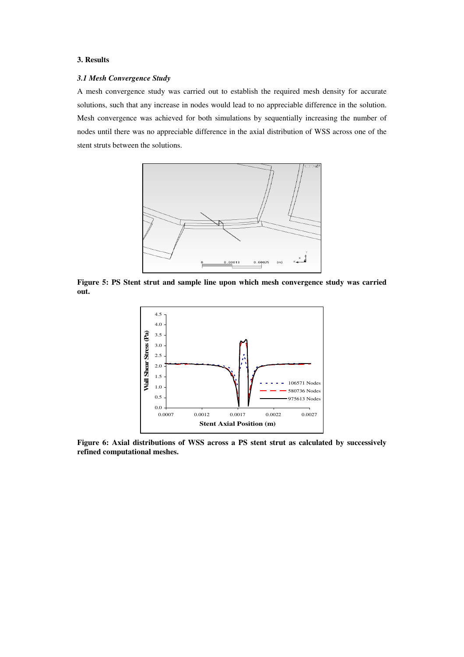## **3. Results**

#### *3.1 Mesh Convergence Study*

A mesh convergence study was carried out to establish the required mesh density for accurate solutions, such that any increase in nodes would lead to no appreciable difference in the solution. Mesh convergence was achieved for both simulations by sequentially increasing the number of nodes until there was no appreciable difference in the axial distribution of WSS across one of the stent struts between the solutions.



**Figure 5: PS Stent strut and sample line upon which mesh convergence study was carried out.**



**Figure 6: Axial distributions of WSS across a PS stent strut as calculated by successively refined computational meshes.**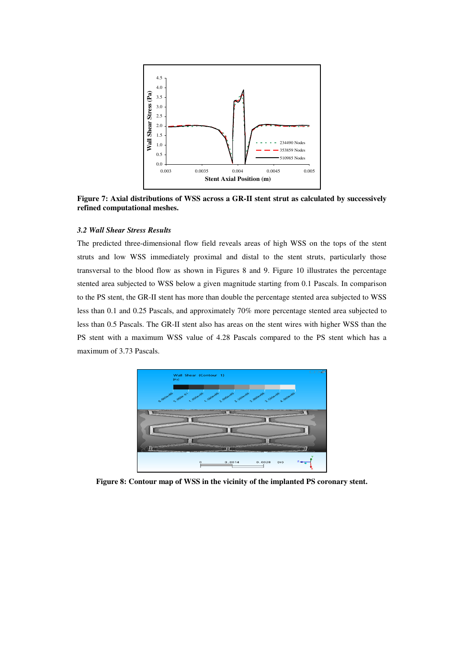

**Figure 7: Axial distributions of WSS across a GR-II stent strut as calculated by successively refined computational meshes.**

## *3.2 Wall Shear Stress Results*

The predicted three-dimensional flow field reveals areas of high WSS on the tops of the stent struts and low WSS immediately proximal and distal to the stent struts, particularly those transversal to the blood flow as shown in Figures 8 and 9. Figure 10 illustrates the percentage stented area subjected to WSS below a given magnitude starting from 0.1 Pascals. In comparison to the PS stent, the GR-II stent has more than double the percentage stented area subjected to WSS less than 0.1 and 0.25 Pascals, and approximately 70% more percentage stented area subjected to less than 0.5 Pascals. The GR-II stent also has areas on the stent wires with higher WSS than the PS stent with a maximum WSS value of 4.28 Pascals compared to the PS stent which has a maximum of 3.73 Pascals.



**Figure 8: Contour map of WSS in the vicinity of the implanted PS coronary stent.**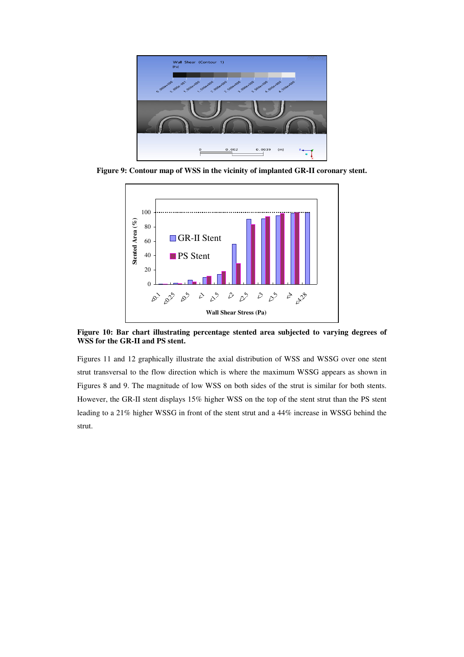

**Figure 9: Contour map of WSS in the vicinity of implanted GR-II coronary stent.**

![](_page_10_Figure_2.jpeg)

**Figure 10: Bar chart illustrating percentage stented area subjected to varying degrees of WSS for the GR-II and PS stent.**

Figures 11 and 12 graphically illustrate the axial distribution of WSS and WSSG over one stent strut transversal to the flow direction which is where the maximum WSSG appears as shown in Figures 8 and 9. The magnitude of low WSS on both sides of the strut is similar for both stents. However, the GR-II stent displays 15% higher WSS on the top of the stent strut than the PS stent leading to a 21% higher WSSG in front of the stent strut and a 44% increase in WSSG behind the strut.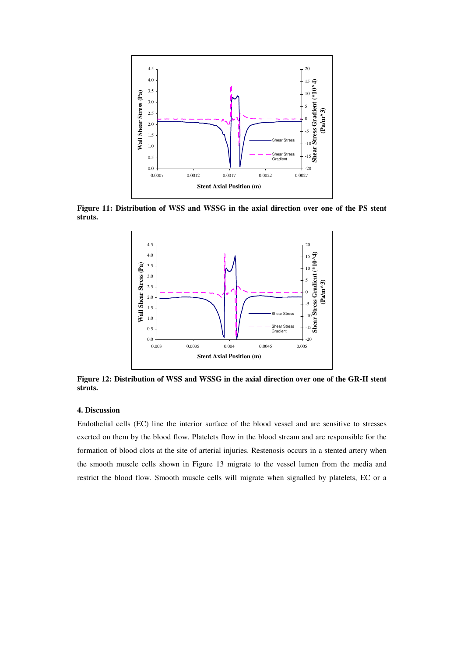![](_page_11_Figure_0.jpeg)

**Figure 11: Distribution of WSS and WSSG in the axial direction over one of the PS stent struts.**

![](_page_11_Figure_2.jpeg)

**Figure 12: Distribution of WSS and WSSG in the axial direction over one of the GR-II stent struts.**

## **4. Discussion**

Endothelial cells (EC) line the interior surface of the blood vessel and are sensitive to stresses exerted on them by the blood flow. Platelets flow in the blood stream and are responsible for the formation of blood clots at the site of arterial injuries. Restenosis occurs in a stented artery when the smooth muscle cells shown in Figure 13 migrate to the vessel lumen from the media and restrict the blood flow. Smooth muscle cells will migrate when signalled by platelets, EC or a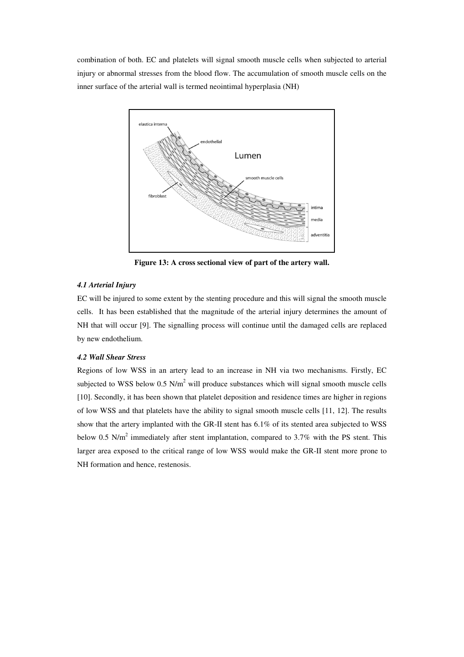combination of both. EC and platelets will signal smooth muscle cells when subjected to arterial injury or abnormal stresses from the blood flow. The accumulation of smooth muscle cells on the inner surface of the arterial wall is termed neointimal hyperplasia (NH)

![](_page_12_Figure_1.jpeg)

**Figure 13: A cross sectional view of part of the artery wall.**

## *4.1 Arterial Injury*

EC will be injured to some extent by the stenting procedure and this will signal the smooth muscle cells. It has been established that the magnitude of the arterial injury determines the amount of NH that will occur [9]. The signalling process will continue until the damaged cells are replaced by new endothelium.

## *4.2 Wall Shear Stress*

Regions of low WSS in an artery lead to an increase in NH via two mechanisms. Firstly, EC subjected to WSS below 0.5 N/m<sup>2</sup> will produce substances which will signal smooth muscle cells [10]. Secondly, it has been shown that platelet deposition and residence times are higher in regions of low WSS and that platelets have the ability to signal smooth muscle cells [11, 12]. The results show that the artery implanted with the GR-II stent has 6.1% of its stented area subjected to WSS below 0.5 N/m<sup>2</sup> immediately after stent implantation, compared to 3.7% with the PS stent. This larger area exposed to the critical range of low WSS would make the GR-II stent more prone to NH formation and hence, restenosis.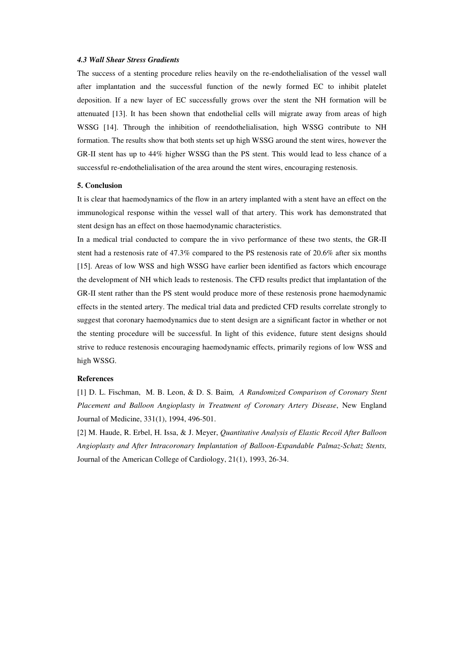## *4.3 Wall Shear Stress Gradients*

The success of a stenting procedure relies heavily on the re-endothelialisation of the vessel wall after implantation and the successful function of the newly formed EC to inhibit platelet deposition. If a new layer of EC successfully grows over the stent the NH formation will be attenuated [13]. It has been shown that endothelial cells will migrate away from areas of high WSSG [14]. Through the inhibition of reendothelialisation, high WSSG contribute to NH formation. The results show that both stents set up high WSSG around the stent wires, however the GR-II stent has up to 44% higher WSSG than the PS stent. This would lead to less chance of a successful re-endothelialisation of the area around the stent wires, encouraging restenosis.

#### **5. Conclusion**

It is clear that haemodynamics of the flow in an artery implanted with a stent have an effect on the immunological response within the vessel wall of that artery. This work has demonstrated that stent design has an effect on those haemodynamic characteristics.

In a medical trial conducted to compare the in vivo performance of these two stents, the GR-II stent had a restenosis rate of 47.3% compared to the PS restenosis rate of 20.6% after six months [15]. Areas of low WSS and high WSSG have earlier been identified as factors which encourage the development of NH which leads to restenosis. The CFD results predict that implantation of the GR-II stent rather than the PS stent would produce more of these restenosis prone haemodynamic effects in the stented artery. The medical trial data and predicted CFD results correlate strongly to suggest that coronary haemodynamics due to stent design are a significant factor in whether or not the stenting procedure will be successful. In light of this evidence, future stent designs should strive to reduce restenosis encouraging haemodynamic effects, primarily regions of low WSS and high WSSG.

#### **References**

[1] D. L. Fischman, M. B. Leon, & D. S. Baim*, A Randomized Comparison of Coronary Stent Placement and Balloon Angioplasty in Treatment of Coronary Artery Disease*, New England Journal of Medicine, 331(1), 1994, 496-501.

[2] M. Haude, R. Erbel, H. Issa, & J. Meyer, *Quantitative Analysis of Elastic Recoil After Balloon Angioplasty and After Intracoronary Implantation of Balloon-Expandable Palmaz-Schatz Stents,* Journal of the American College of Cardiology, 21(1), 1993, 26-34.